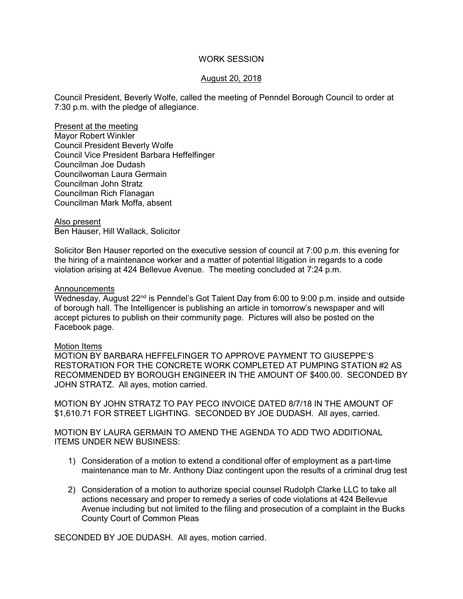### WORK SESSION

## August 20, 2018

Council President, Beverly Wolfe, called the meeting of Penndel Borough Council to order at 7:30 p.m. with the pledge of allegiance.

Present at the meeting Mayor Robert Winkler Council President Beverly Wolfe Council Vice President Barbara Heffelfinger Councilman Joe Dudash Councilwoman Laura Germain Councilman John Stratz Councilman Rich Flanagan Councilman Mark Moffa, absent

Also present Ben Hauser, Hill Wallack, Solicitor

Solicitor Ben Hauser reported on the executive session of council at 7:00 p.m. this evening for the hiring of a maintenance worker and a matter of potential litigation in regards to a code violation arising at 424 Bellevue Avenue. The meeting concluded at 7:24 p.m.

#### Announcements

Wednesday, August 22<sup>nd</sup> is Penndel's Got Talent Day from 6:00 to 9:00 p.m. inside and outside of borough hall. The Intelligencer is publishing an article in tomorrow's newspaper and will accept pictures to publish on their community page. Pictures will also be posted on the Facebook page.

### Motion Items

MOTION BY BARBARA HEFFELFINGER TO APPROVE PAYMENT TO GIUSEPPE'S RESTORATION FOR THE CONCRETE WORK COMPLETED AT PUMPING STATION #2 AS RECOMMENDED BY BOROUGH ENGINEER IN THE AMOUNT OF \$400.00. SECONDED BY JOHN STRATZ. All ayes, motion carried.

MOTION BY JOHN STRATZ TO PAY PECO INVOICE DATED 8/7/18 IN THE AMOUNT OF \$1,610.71 FOR STREET LIGHTING. SECONDED BY JOE DUDASH. All ayes, carried.

MOTION BY LAURA GERMAIN TO AMEND THE AGENDA TO ADD TWO ADDITIONAL ITEMS UNDER NEW BUSINESS:

- 1) Consideration of a motion to extend a conditional offer of employment as a part-time maintenance man to Mr. Anthony Diaz contingent upon the results of a criminal drug test
- 2) Consideration of a motion to authorize special counsel Rudolph Clarke LLC to take all actions necessary and proper to remedy a series of code violations at 424 Bellevue Avenue including but not limited to the filing and prosecution of a complaint in the Bucks County Court of Common Pleas

SECONDED BY JOE DUDASH. All ayes, motion carried.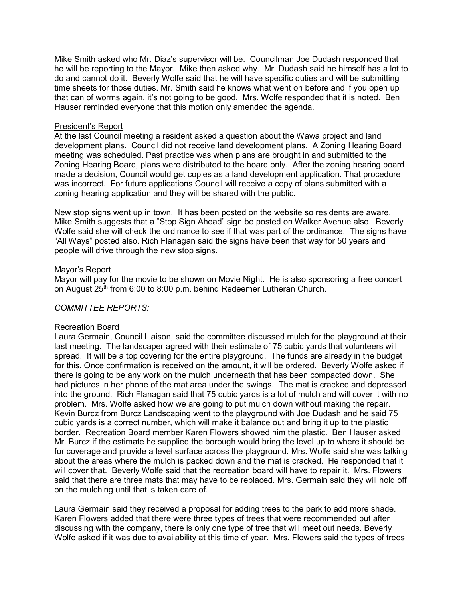Mike Smith asked who Mr. Diaz's supervisor will be. Councilman Joe Dudash responded that he will be reporting to the Mayor. Mike then asked why. Mr. Dudash said he himself has a lot to do and cannot do it. Beverly Wolfe said that he will have specific duties and will be submitting time sheets for those duties. Mr. Smith said he knows what went on before and if you open up that can of worms again, it's not going to be good. Mrs. Wolfe responded that it is noted. Ben Hauser reminded everyone that this motion only amended the agenda.

### President's Report

At the last Council meeting a resident asked a question about the Wawa project and land development plans. Council did not receive land development plans. A Zoning Hearing Board meeting was scheduled. Past practice was when plans are brought in and submitted to the Zoning Hearing Board, plans were distributed to the board only. After the zoning hearing board made a decision, Council would get copies as a land development application. That procedure was incorrect. For future applications Council will receive a copy of plans submitted with a zoning hearing application and they will be shared with the public.

New stop signs went up in town. It has been posted on the website so residents are aware. Mike Smith suggests that a "Stop Sign Ahead" sign be posted on Walker Avenue also. Beverly Wolfe said she will check the ordinance to see if that was part of the ordinance. The signs have "All Ways" posted also. Rich Flanagan said the signs have been that way for 50 years and people will drive through the new stop signs.

## Mayor's Report

Mayor will pay for the movie to be shown on Movie Night. He is also sponsoring a free concert on August 25<sup>th</sup> from 6:00 to 8:00 p.m. behind Redeemer Lutheran Church.

# *COMMITTEE REPORTS:*

### Recreation Board

Laura Germain, Council Liaison, said the committee discussed mulch for the playground at their last meeting. The landscaper agreed with their estimate of 75 cubic yards that volunteers will spread. It will be a top covering for the entire playground. The funds are already in the budget for this. Once confirmation is received on the amount, it will be ordered. Beverly Wolfe asked if there is going to be any work on the mulch underneath that has been compacted down. She had pictures in her phone of the mat area under the swings. The mat is cracked and depressed into the ground. Rich Flanagan said that 75 cubic yards is a lot of mulch and will cover it with no problem. Mrs. Wolfe asked how we are going to put mulch down without making the repair. Kevin Burcz from Burcz Landscaping went to the playground with Joe Dudash and he said 75 cubic yards is a correct number, which will make it balance out and bring it up to the plastic border. Recreation Board member Karen Flowers showed him the plastic. Ben Hauser asked Mr. Burcz if the estimate he supplied the borough would bring the level up to where it should be for coverage and provide a level surface across the playground. Mrs. Wolfe said she was talking about the areas where the mulch is packed down and the mat is cracked. He responded that it will cover that. Beverly Wolfe said that the recreation board will have to repair it. Mrs. Flowers said that there are three mats that may have to be replaced. Mrs. Germain said they will hold off on the mulching until that is taken care of.

Laura Germain said they received a proposal for adding trees to the park to add more shade. Karen Flowers added that there were three types of trees that were recommended but after discussing with the company, there is only one type of tree that will meet out needs. Beverly Wolfe asked if it was due to availability at this time of year. Mrs. Flowers said the types of trees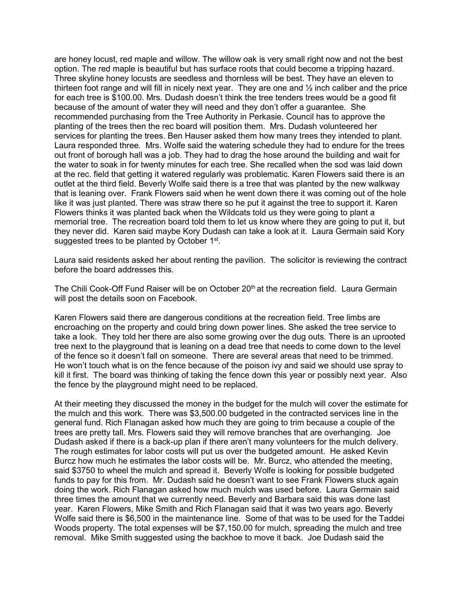are honey locust, red maple and willow. The willow oak is very small right now and not the best option. The red maple is beautiful but has surface roots that could become a tripping hazard. Three skyline honey locusts are seedless and thornless will be best. They have an eleven to thirteen foot range and will fill in nicely next year. They are one and ½ inch caliber and the price for each tree is \$100.00. Mrs. Dudash doesn't think the tree tenders trees would be a good fit because of the amount of water they will need and they don't offer a guarantee. She recommended purchasing from the Tree Authority in Perkasie. Council has to approve the planting of the trees then the rec board will position them. Mrs. Dudash volunteered her services for planting the trees. Ben Hauser asked them how many trees they intended to plant. Laura responded three. Mrs. Wolfe said the watering schedule they had to endure for the trees out front of borough hall was a job. They had to drag the hose around the building and wait for the water to soak in for twenty minutes for each tree. She recalled when the sod was laid down at the rec. field that getting it watered regularly was problematic. Karen Flowers said there is an outlet at the third field. Beverly Wolfe said there is a tree that was planted by the new walkway that is leaning over. Frank Flowers said when he went down there it was coming out of the hole like it was just planted. There was straw there so he put it against the tree to support it. Karen Flowers thinks it was planted back when the Wildcats told us they were going to plant a memorial tree. The recreation board told them to let us know where they are going to put it, but they never did. Karen said maybe Kory Dudash can take a look at it. Laura Germain said Kory suggested trees to be planted by October 1<sup>st</sup>.

Laura said residents asked her about renting the pavilion. The solicitor is reviewing the contract before the board addresses this.

The Chili Cook-Off Fund Raiser will be on October 20<sup>th</sup> at the recreation field. Laura Germain will post the details soon on Facebook.

Karen Flowers said there are dangerous conditions at the recreation field. Tree limbs are encroaching on the property and could bring down power lines. She asked the tree service to take a look. They told her there are also some growing over the dug outs. There is an uprooted tree next to the playground that is leaning on a dead tree that needs to come down to the level of the fence so it doesn't fall on someone. There are several areas that need to be trimmed. He won't touch what is on the fence because of the poison ivy and said we should use spray to kill it first. The board was thinking of taking the fence down this year or possibly next year. Also the fence by the playground might need to be replaced.

At their meeting they discussed the money in the budget for the mulch will cover the estimate for the mulch and this work. There was \$3,500.00 budgeted in the contracted services line in the general fund. Rich Flanagan asked how much they are going to trim because a couple of the trees are pretty tall. Mrs. Flowers said they will remove branches that are overhanging. Joe Dudash asked if there is a back-up plan if there aren't many volunteers for the mulch delivery. The rough estimates for labor costs will put us over the budgeted amount. He asked Kevin Burcz how much he estimates the labor costs will be. Mr. Burcz, who attended the meeting, said \$3750 to wheel the mulch and spread it. Beverly Wolfe is looking for possible budgeted funds to pay for this from. Mr. Dudash said he doesn't want to see Frank Flowers stuck again doing the work. Rich Flanagan asked how much mulch was used before. Laura Germain said three times the amount that we currently need. Beverly and Barbara said this was done last year. Karen Flowers, Mike Smith and Rich Flanagan said that it was two years ago. Beverly Wolfe said there is \$6,500 in the maintenance line. Some of that was to be used for the Taddei Woods property. The total expenses will be \$7,150.00 for mulch, spreading the mulch and tree removal. Mike Smith suggested using the backhoe to move it back. Joe Dudash said the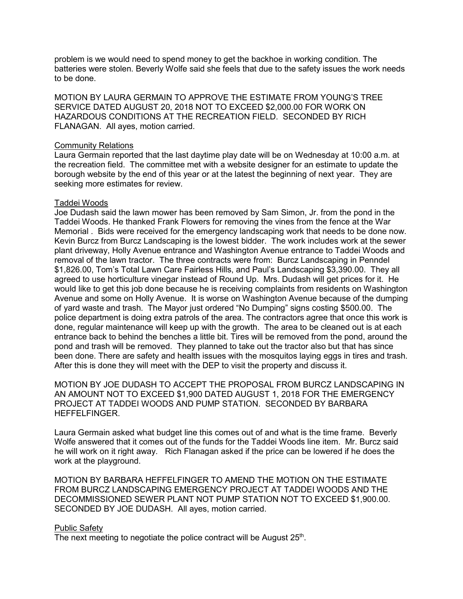problem is we would need to spend money to get the backhoe in working condition. The batteries were stolen. Beverly Wolfe said she feels that due to the safety issues the work needs to be done.

MOTION BY LAURA GERMAIN TO APPROVE THE ESTIMATE FROM YOUNG'S TREE SERVICE DATED AUGUST 20, 2018 NOT TO EXCEED \$2,000.00 FOR WORK ON HAZARDOUS CONDITIONS AT THE RECREATION FIELD. SECONDED BY RICH FLANAGAN. All ayes, motion carried.

#### Community Relations

Laura Germain reported that the last daytime play date will be on Wednesday at 10:00 a.m. at the recreation field. The committee met with a website designer for an estimate to update the borough website by the end of this year or at the latest the beginning of next year. They are seeking more estimates for review.

### Taddei Woods

Joe Dudash said the lawn mower has been removed by Sam Simon, Jr. from the pond in the Taddei Woods. He thanked Frank Flowers for removing the vines from the fence at the War Memorial . Bids were received for the emergency landscaping work that needs to be done now. Kevin Burcz from Burcz Landscaping is the lowest bidder. The work includes work at the sewer plant driveway, Holly Avenue entrance and Washington Avenue entrance to Taddei Woods and removal of the lawn tractor. The three contracts were from: Burcz Landscaping in Penndel \$1,826.00, Tom's Total Lawn Care Fairless Hills, and Paul's Landscaping \$3,390.00. They all agreed to use horticulture vinegar instead of Round Up. Mrs. Dudash will get prices for it. He would like to get this job done because he is receiving complaints from residents on Washington Avenue and some on Holly Avenue. It is worse on Washington Avenue because of the dumping of yard waste and trash. The Mayor just ordered "No Dumping" signs costing \$500.00. The police department is doing extra patrols of the area. The contractors agree that once this work is done, regular maintenance will keep up with the growth. The area to be cleaned out is at each entrance back to behind the benches a little bit. Tires will be removed from the pond, around the pond and trash will be removed. They planned to take out the tractor also but that has since been done. There are safety and health issues with the mosquitos laying eggs in tires and trash. After this is done they will meet with the DEP to visit the property and discuss it.

MOTION BY JOE DUDASH TO ACCEPT THE PROPOSAL FROM BURCZ LANDSCAPING IN AN AMOUNT NOT TO EXCEED \$1,900 DATED AUGUST 1, 2018 FOR THE EMERGENCY PROJECT AT TADDEI WOODS AND PUMP STATION. SECONDED BY BARBARA HEFFELFINGER.

Laura Germain asked what budget line this comes out of and what is the time frame. Beverly Wolfe answered that it comes out of the funds for the Taddei Woods line item. Mr. Burcz said he will work on it right away. Rich Flanagan asked if the price can be lowered if he does the work at the playground.

MOTION BY BARBARA HEFFELFINGER TO AMEND THE MOTION ON THE ESTIMATE FROM BURCZ LANDSCAPING EMERGENCY PROJECT AT TADDEI WOODS AND THE DECOMMISSIONED SEWER PLANT NOT PUMP STATION NOT TO EXCEED \$1,900.00. SECONDED BY JOE DUDASH. All ayes, motion carried.

### Public Safety

The next meeting to negotiate the police contract will be August 25<sup>th</sup>.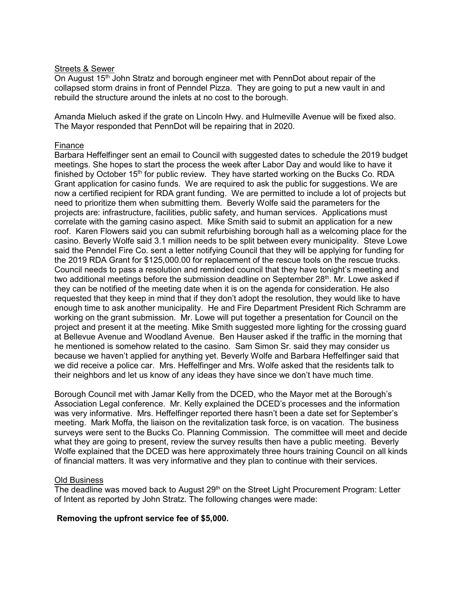## Streets & Sewer

On August  $15<sup>th</sup>$  John Stratz and borough engineer met with PennDot about repair of the collapsed storm drains in front of Penndel Pizza. They are going to put a new vault in and rebuild the structure around the inlets at no cost to the borough.

Amanda Mieluch asked if the grate on Lincoln Hwy. and Hulmeville Avenue will be fixed also. The Mayor responded that PennDot will be repairing that in 2020.

## Finance

Barbara Heffelfinger sent an email to Council with suggested dates to schedule the 2019 budget meetings. She hopes to start the process the week after Labor Day and would like to have it finished by October  $15<sup>th</sup>$  for public review. They have started working on the Bucks Co. RDA Grant application for casino funds. We are required to ask the public for suggestions. We are now a certified recipient for RDA grant funding. We are permitted to include a lot of projects but need to prioritize them when submitting them. Beverly Wolfe said the parameters for the projects are: infrastructure, facilities, public safety, and human services. Applications must correlate with the gaming casino aspect. Mike Smith said to submit an application for a new roof. Karen Flowers said you can submit refurbishing borough hall as a welcoming place for the casino. Beverly Wolfe said 3.1 million needs to be split between every municipality. Steve Lowe said the Penndel Fire Co. sent a letter notifying Council that they will be applying for funding for the 2019 RDA Grant for \$125,000.00 for replacement of the rescue tools on the rescue trucks. Council needs to pass a resolution and reminded council that they have tonight's meeting and two additional meetings before the submission deadline on September 28<sup>th</sup>. Mr. Lowe asked if they can be notified of the meeting date when it is on the agenda for consideration. He also requested that they keep in mind that if they don't adopt the resolution, they would like to have enough time to ask another municipality. He and Fire Department President Rich Schramm are working on the grant submission. Mr. Lowe will put together a presentation for Council on the project and present it at the meeting. Mike Smith suggested more lighting for the crossing guard at Bellevue Avenue and Woodland Avenue. Ben Hauser asked if the traffic in the morning that he mentioned is somehow related to the casino. Sam Simon Sr. said they may consider us because we haven't applied for anything yet. Beverly Wolfe and Barbara Heffelfinger said that we did receive a police car. Mrs. Heffelfinger and Mrs. Wolfe asked that the residents talk to their neighbors and let us know of any ideas they have since we don't have much time.

Borough Council met with Jamar Kelly from the DCED, who the Mayor met at the Borough's Association Legal conference. Mr. Kelly explained the DCED's processes and the information was very informative. Mrs. Heffelfinger reported there hasn't been a date set for September's meeting. Mark Moffa, the liaison on the revitalization task force, is on vacation. The business surveys were sent to the Bucks Co. Planning Commission. The committee will meet and decide what they are going to present, review the survey results then have a public meeting. Beverly Wolfe explained that the DCED was here approximately three hours training Council on all kinds of financial matters. It was very informative and they plan to continue with their services.

### Old Business

The deadline was moved back to August  $29<sup>th</sup>$  on the Street Light Procurement Program: Letter of Intent as reported by John Stratz. The following changes were made:

# **Removing the upfront service fee of \$5,000.**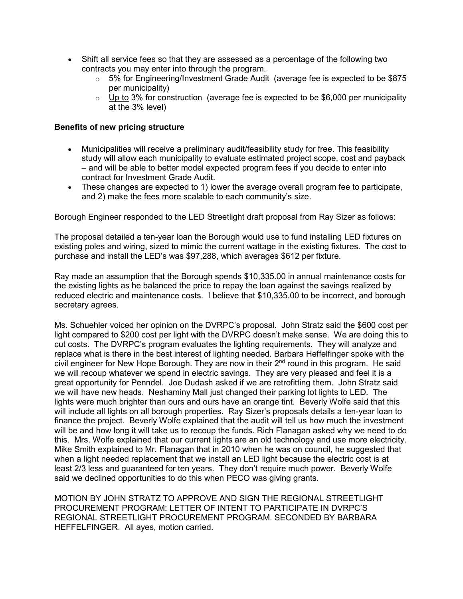- Shift all service fees so that they are assessed as a percentage of the following two contracts you may enter into through the program.
	- $\circ$  5% for Engineering/Investment Grade Audit (average fee is expected to be \$875 per municipality)
	- $\circ$  Up to 3% for construction (average fee is expected to be \$6,000 per municipality at the 3% level)

## **Benefits of new pricing structure**

- Municipalities will receive a preliminary audit/feasibility study for free. This feasibility study will allow each municipality to evaluate estimated project scope, cost and payback – and will be able to better model expected program fees if you decide to enter into contract for Investment Grade Audit.
- These changes are expected to 1) lower the average overall program fee to participate, and 2) make the fees more scalable to each community's size.

Borough Engineer responded to the LED Streetlight draft proposal from Ray Sizer as follows:

The proposal detailed a ten-year loan the Borough would use to fund installing LED fixtures on existing poles and wiring, sized to mimic the current wattage in the existing fixtures. The cost to purchase and install the LED's was \$97,288, which averages \$612 per fixture.

Ray made an assumption that the Borough spends \$10,335.00 in annual maintenance costs for the existing lights as he balanced the price to repay the loan against the savings realized by reduced electric and maintenance costs. I believe that \$10,335.00 to be incorrect, and borough secretary agrees.

Ms. Schuehler voiced her opinion on the DVRPC's proposal. John Stratz said the \$600 cost per light compared to \$200 cost per light with the DVRPC doesn't make sense. We are doing this to cut costs. The DVRPC's program evaluates the lighting requirements. They will analyze and replace what is there in the best interest of lighting needed. Barbara Heffelfinger spoke with the civil engineer for New Hope Borough. They are now in their 2<sup>nd</sup> round in this program. He said we will recoup whatever we spend in electric savings. They are very pleased and feel it is a great opportunity for Penndel. Joe Dudash asked if we are retrofitting them. John Stratz said we will have new heads. Neshaminy Mall just changed their parking lot lights to LED. The lights were much brighter than ours and ours have an orange tint. Beverly Wolfe said that this will include all lights on all borough properties. Ray Sizer's proposals details a ten-year loan to finance the project. Beverly Wolfe explained that the audit will tell us how much the investment will be and how long it will take us to recoup the funds. Rich Flanagan asked why we need to do this. Mrs. Wolfe explained that our current lights are an old technology and use more electricity. Mike Smith explained to Mr. Flanagan that in 2010 when he was on council, he suggested that when a light needed replacement that we install an LED light because the electric cost is at least 2/3 less and guaranteed for ten years. They don't require much power. Beverly Wolfe said we declined opportunities to do this when PECO was giving grants.

MOTION BY JOHN STRATZ TO APPROVE AND SIGN THE REGIONAL STREETLIGHT PROCUREMENT PROGRAM: LETTER OF INTENT TO PARTICIPATE IN DVRPC'S REGIONAL STREETLIGHT PROCUREMENT PROGRAM. SECONDED BY BARBARA HEFFELFINGER. All ayes, motion carried.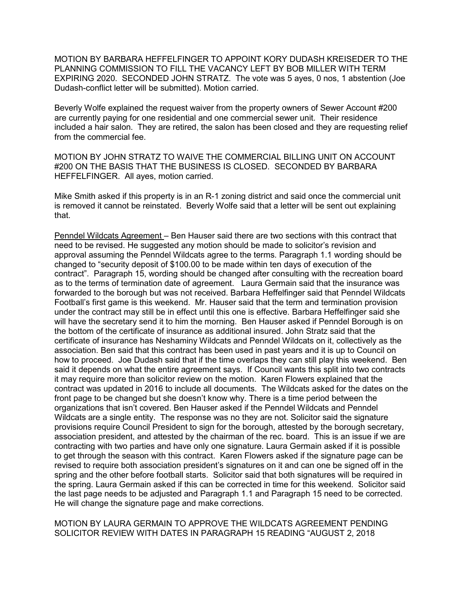MOTION BY BARBARA HEFFELFINGER TO APPOINT KORY DUDASH KREISEDER TO THE PLANNING COMMISSION TO FILL THE VACANCY LEFT BY BOB MILLER WITH TERM EXPIRING 2020. SECONDED JOHN STRATZ. The vote was 5 ayes, 0 nos, 1 abstention (Joe Dudash-conflict letter will be submitted). Motion carried.

Beverly Wolfe explained the request waiver from the property owners of Sewer Account #200 are currently paying for one residential and one commercial sewer unit. Their residence included a hair salon. They are retired, the salon has been closed and they are requesting relief from the commercial fee.

MOTION BY JOHN STRATZ TO WAIVE THE COMMERCIAL BILLING UNIT ON ACCOUNT #200 ON THE BASIS THAT THE BUSINESS IS CLOSED. SECONDED BY BARBARA HEFFELFINGER. All ayes, motion carried.

Mike Smith asked if this property is in an R-1 zoning district and said once the commercial unit is removed it cannot be reinstated. Beverly Wolfe said that a letter will be sent out explaining that.

Penndel Wildcats Agreement – Ben Hauser said there are two sections with this contract that need to be revised. He suggested any motion should be made to solicitor's revision and approval assuming the Penndel Wildcats agree to the terms. Paragraph 1.1 wording should be changed to "security deposit of \$100.00 to be made within ten days of execution of the contract". Paragraph 15, wording should be changed after consulting with the recreation board as to the terms of termination date of agreement. Laura Germain said that the insurance was forwarded to the borough but was not received. Barbara Heffelfinger said that Penndel Wildcats Football's first game is this weekend. Mr. Hauser said that the term and termination provision under the contract may still be in effect until this one is effective. Barbara Heffelfinger said she will have the secretary send it to him the morning. Ben Hauser asked if Penndel Borough is on the bottom of the certificate of insurance as additional insured. John Stratz said that the certificate of insurance has Neshaminy Wildcats and Penndel Wildcats on it, collectively as the association. Ben said that this contract has been used in past years and it is up to Council on how to proceed. Joe Dudash said that if the time overlaps they can still play this weekend. Ben said it depends on what the entire agreement says. If Council wants this split into two contracts it may require more than solicitor review on the motion. Karen Flowers explained that the contract was updated in 2016 to include all documents. The Wildcats asked for the dates on the front page to be changed but she doesn't know why. There is a time period between the organizations that isn't covered. Ben Hauser asked if the Penndel Wildcats and Penndel Wildcats are a single entity. The response was no they are not. Solicitor said the signature provisions require Council President to sign for the borough, attested by the borough secretary, association president, and attested by the chairman of the rec. board. This is an issue if we are contracting with two parties and have only one signature. Laura Germain asked if it is possible to get through the season with this contract. Karen Flowers asked if the signature page can be revised to require both association president's signatures on it and can one be signed off in the spring and the other before football starts. Solicitor said that both signatures will be required in the spring. Laura Germain asked if this can be corrected in time for this weekend. Solicitor said the last page needs to be adjusted and Paragraph 1.1 and Paragraph 15 need to be corrected. He will change the signature page and make corrections.

MOTION BY LAURA GERMAIN TO APPROVE THE WILDCATS AGREEMENT PENDING SOLICITOR REVIEW WITH DATES IN PARAGRAPH 15 READING "AUGUST 2, 2018